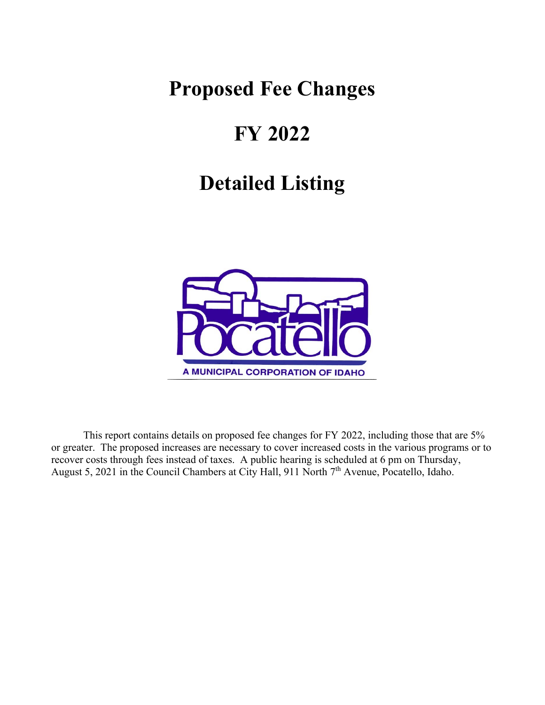## **Proposed Fee Changes**

# **FY 2022**

# **Detailed Listing**



 This report contains details on proposed fee changes for FY 2022, including those that are 5% or greater. The proposed increases are necessary to cover increased costs in the various programs or to recover costs through fees instead of taxes. A public hearing is scheduled at 6 pm on Thursday, August 5, 2021 in the Council Chambers at City Hall, 911 North 7<sup>th</sup> Avenue, Pocatello, Idaho.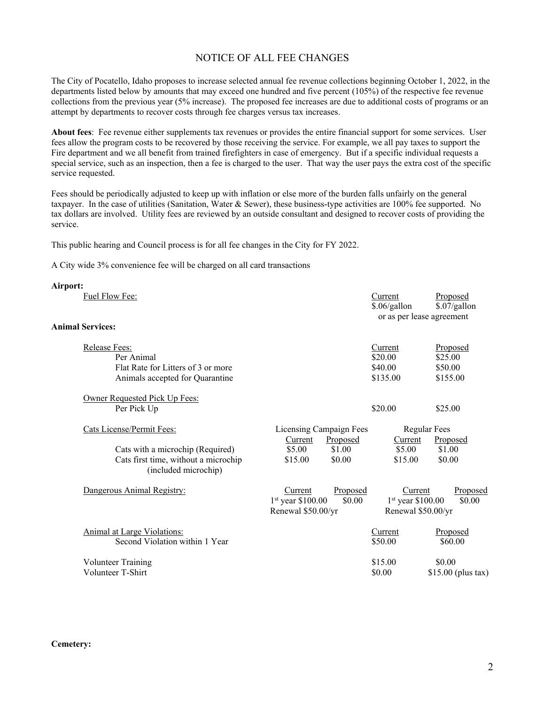### NOTICE OF ALL FEE CHANGES

The City of Pocatello, Idaho proposes to increase selected annual fee revenue collections beginning October 1, 2022, in the departments listed below by amounts that may exceed one hundred and five percent (105%) of the respective fee revenue collections from the previous year (5% increase). The proposed fee increases are due to additional costs of programs or an attempt by departments to recover costs through fee charges versus tax increases.

**About fees**: Fee revenue either supplements tax revenues or provides the entire financial support for some services. User fees allow the program costs to be recovered by those receiving the service. For example, we all pay taxes to support the Fire department and we all benefit from trained firefighters in case of emergency. But if a specific individual requests a special service, such as an inspection, then a fee is charged to the user. That way the user pays the extra cost of the specific service requested.

Fees should be periodically adjusted to keep up with inflation or else more of the burden falls unfairly on the general taxpayer. In the case of utilities (Sanitation, Water & Sewer), these business-type activities are 100% fee supported. No tax dollars are involved. Utility fees are reviewed by an outside consultant and designed to recover costs of providing the service.

This public hearing and Council process is for all fee changes in the City for FY 2022.

A City wide 3% convenience fee will be charged on all card transactions

| Airport:                                                                                             |                                                                            |                                                      |                                            |
|------------------------------------------------------------------------------------------------------|----------------------------------------------------------------------------|------------------------------------------------------|--------------------------------------------|
| Fuel Flow Fee:                                                                                       |                                                                            | Current<br>\$.06/gallon<br>or as per lease agreement | Proposed<br>\$.07/gallon                   |
| <b>Animal Services:</b>                                                                              |                                                                            |                                                      |                                            |
| Release Fees:<br>Per Animal<br>Flat Rate for Litters of 3 or more<br>Animals accepted for Quarantine |                                                                            | Current<br>\$20.00<br>\$40.00<br>\$135.00            | Proposed<br>\$25.00<br>\$50.00<br>\$155.00 |
| Owner Requested Pick Up Fees:<br>Per Pick Up                                                         |                                                                            | \$20.00                                              | \$25.00                                    |
| Cats License/Permit Fees:                                                                            | Licensing Campaign Fees                                                    |                                                      | <b>Regular Fees</b>                        |
| Cats with a microchip (Required)<br>Cats first time, without a microchip<br>(included microchip)     | Proposed<br>Current<br>\$1.00<br>\$5.00<br>\$0.00<br>\$15.00               | Current<br>\$5.00<br>\$15.00                         | Proposed<br>\$1.00<br>\$0.00               |
| Dangerous Animal Registry:                                                                           | Proposed<br>Current<br>$1st$ year \$100.00<br>\$0.00<br>Renewal \$50.00/yr | Current<br>$1st$ year \$100.00<br>Renewal \$50.00/yr | Proposed<br>\$0.00                         |
| Animal at Large Violations:<br>Second Violation within 1 Year                                        |                                                                            | Current<br>\$50.00                                   | Proposed<br>\$60.00                        |
| <b>Volunteer Training</b>                                                                            |                                                                            | \$15.00                                              | \$0.00                                     |
| Volunteer T-Shirt                                                                                    |                                                                            | \$0.00                                               | \$15.00 (plus tax)                         |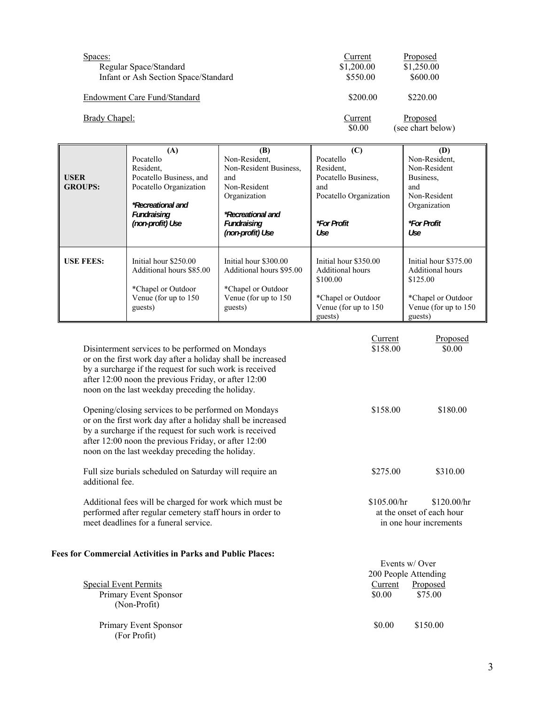| Spaces:<br>Regular Space/Standard    | Current<br>\$1,200.00 | Proposed<br>\$1,250.00        |
|--------------------------------------|-----------------------|-------------------------------|
| Infant or Ash Section Space/Standard | \$550.00              | \$600.00                      |
| Endowment Care Fund/Standard         | \$200.00              | \$220.00                      |
| Brady Chapel:                        | Current<br>\$0.00     | Proposed<br>(see chart below) |

|                  | (A)                      | (B)                      | (C)                       | (D)                       |
|------------------|--------------------------|--------------------------|---------------------------|---------------------------|
|                  | Pocatello                | Non-Resident,            | Pocatello                 | Non-Resident,             |
|                  | Resident,                | Non-Resident Business,   | Resident,                 | Non-Resident              |
| <b>USER</b>      | Pocatello Business, and  | and                      | Pocatello Business,       | Business,                 |
| <b>GROUPS:</b>   | Pocatello Organization   | Non-Resident             | and                       | and                       |
|                  |                          | Organization             | Pocatello Organization    | Non-Resident              |
|                  | *Recreational and        |                          |                           | Organization              |
|                  | Fundraising              | <i>*Recreational and</i> |                           |                           |
|                  | (non-profit) Use         | Fundraising              | <i><b>*For Profit</b></i> | <i><b>*For Profit</b></i> |
|                  |                          | (non-profit) Use         | Use                       | Use                       |
|                  |                          |                          |                           |                           |
|                  |                          |                          |                           |                           |
| <b>USE FEES:</b> | Initial hour \$250.00    | Initial hour \$300.00    | Initial hour \$350.00     | Initial hour \$375.00     |
|                  | Additional hours \$85.00 | Additional hours \$95.00 | Additional hours          | Additional hours          |
|                  |                          |                          | \$100.00                  | \$125.00                  |
|                  | *Chapel or Outdoor       | *Chapel or Outdoor       |                           |                           |
|                  | Venue (for up to 150)    | Venue (for up to 150     | *Chapel or Outdoor        | *Chapel or Outdoor        |
|                  | guests)                  | guests)                  | Venue (for up to 150)     | Venue (for up to 150      |
|                  |                          |                          | guests)                   | guests)                   |

|                              | Disinterment services to be performed on Mondays<br>or on the first work day after a holiday shall be increased<br>by a surcharge if the request for such work is received<br>after 12:00 noon the previous Friday, or after 12:00<br>noon on the last weekday preceding the holiday.    | Current<br>\$158.00                   | Proposed<br>\$0.00                                                 |
|------------------------------|------------------------------------------------------------------------------------------------------------------------------------------------------------------------------------------------------------------------------------------------------------------------------------------|---------------------------------------|--------------------------------------------------------------------|
|                              | Opening/closing services to be performed on Mondays<br>or on the first work day after a holiday shall be increased<br>by a surcharge if the request for such work is received<br>after 12:00 noon the previous Friday, or after 12:00<br>noon on the last weekday preceding the holiday. | \$158.00                              | \$180.00                                                           |
| additional fee.              | Full size burials scheduled on Saturday will require an                                                                                                                                                                                                                                  | \$275.00                              | \$310.00                                                           |
|                              | Additional fees will be charged for work which must be<br>performed after regular cemetery staff hours in order to<br>meet deadlines for a funeral service.                                                                                                                              | \$105.00/hr                           | \$120.00/hr<br>at the onset of each hour<br>in one hour increments |
|                              | <b>Fees for Commercial Activities in Parks and Public Places:</b>                                                                                                                                                                                                                        |                                       |                                                                    |
|                              |                                                                                                                                                                                                                                                                                          | Events w/Over<br>200 People Attending |                                                                    |
| <b>Special Event Permits</b> |                                                                                                                                                                                                                                                                                          | Current                               | Proposed                                                           |
| (Non-Profit)                 | Primary Event Sponsor                                                                                                                                                                                                                                                                    | \$0.00                                | \$75.00                                                            |

Primary Event Sponsor **but Sponsor**  $\text{S0.00}$  \$150.00

(For Profit)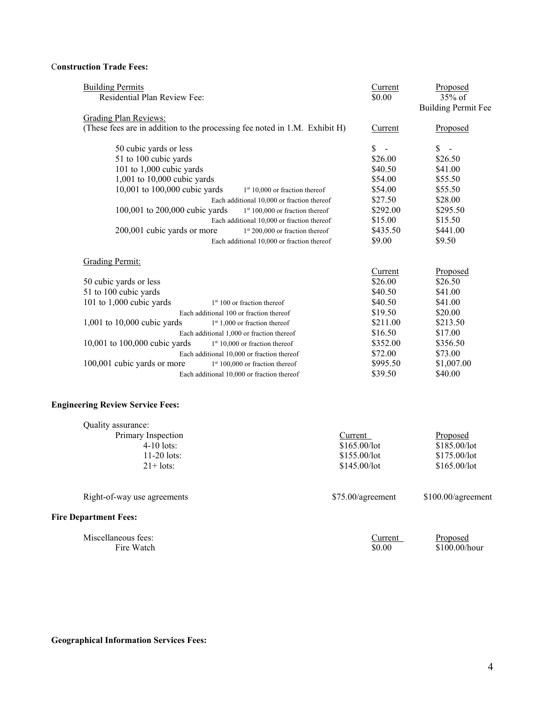#### C**onstruction Trade Fees:**

| <b>Building Permits</b><br>Residential Plan Review Fee:                    | Current<br>\$0.00              | Proposed<br>35% of<br><b>Building Permit Fee</b> |
|----------------------------------------------------------------------------|--------------------------------|--------------------------------------------------|
| <b>Grading Plan Reviews:</b>                                               |                                |                                                  |
| (These fees are in addition to the processing fee noted in 1.M. Exhibit H) | Current                        | Proposed                                         |
| 50 cubic yards or less                                                     | \$<br>$\overline{\phantom{a}}$ | \$<br>$\sim$                                     |
| 51 to 100 cubic yards                                                      | \$26.00                        | \$26.50                                          |
| 101 to 1,000 cubic yards                                                   | \$40.50                        | \$41.00                                          |
| 1,001 to 10,000 cubic yards                                                | \$54.00                        | \$55.50                                          |
| 10,001 to 100,000 cubic yards<br>$1st 10,000$ or fraction thereof          | \$54.00                        | \$55.50                                          |
| Each additional 10,000 or fraction thereof                                 | \$27.50                        | \$28.00                                          |
| 100,001 to 200,000 cubic yards<br>$1st 100,000$ or fraction thereof        | \$292.00                       | \$295.50                                         |
| Each additional 10,000 or fraction thereof                                 | \$15.00                        | \$15.50                                          |
| 200,001 cubic yards or more<br>$1st 200,000$ or fraction thereof           | \$435.50                       | \$441.00                                         |
| Each additional 10,000 or fraction thereof                                 | \$9.00                         | \$9.50                                           |
| <b>Grading Permit:</b>                                                     |                                |                                                  |
|                                                                            | Current                        | Proposed                                         |
| 50 cubic yards or less                                                     | \$26.00                        | \$26.50                                          |
| 51 to 100 cubic yards                                                      | \$40.50                        | \$41.00                                          |
| 101 to $1,000$ cubic yards<br>$1st 100$ or fraction thereof                | \$40.50                        | \$41.00                                          |
| Each additional 100 or fraction thereof                                    | \$19.50                        | \$20.00                                          |
| 1,001 to 10,000 cubic yards<br>$1st 1,000$ or fraction thereof             | \$211.00                       | \$213.50                                         |
| Each additional 1,000 or fraction thereof                                  | \$16.50                        | \$17.00                                          |
| 10,001 to 100,000 cubic yards<br>$1st 10,000$ or fraction thereof          | \$352.00                       | \$356.50                                         |
| Each additional 10,000 or fraction thereof                                 | \$72.00                        | \$73.00                                          |
|                                                                            | \$995.50                       | \$1,007.00                                       |
| 100,001 cubic yards or more<br>$1st 100,000$ or fraction thereof           | \$39.50                        | \$40.00                                          |

| Quality assurance:          |                   |                    |
|-----------------------------|-------------------|--------------------|
| Primary Inspection          | Current           | Proposed           |
| $4-10$ lots:                | \$165.00/lot      | \$185.00/lot       |
| $11-20$ lots:               | \$155.00/lot      | \$175.00/lot       |
| $21 + \text{lots}:$         | \$145.00/lot      | \$165.00/lot       |
|                             |                   |                    |
| Right-of-way use agreements | \$75.00/agreement | \$100.00/agreement |

#### **Fire Department Fees:**

| Miscellaneous fees: | ∠urrent | Proposed        |
|---------------------|---------|-----------------|
| Fire Watch          | \$0.00  | $$100.00/h$ our |

**Geographical Information Services Fees:**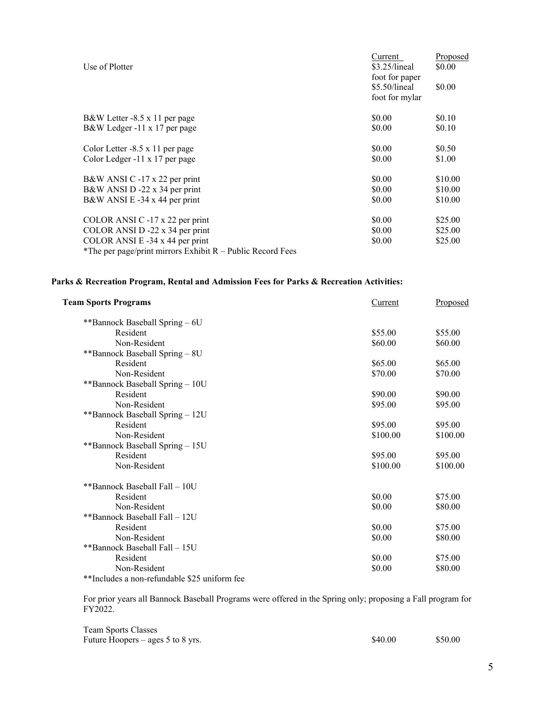| Use of Plotter                                               | Current<br>\$3.25/linear<br>foot for paper | Proposed<br>\$0.00 |
|--------------------------------------------------------------|--------------------------------------------|--------------------|
|                                                              | \$5.50/lineal<br>foot for mylar            | \$0.00             |
| B&W Letter -8.5 x 11 per page                                | \$0.00                                     | \$0.10             |
| B&W Ledger -11 x 17 per page                                 | \$0.00                                     | \$0.10             |
| Color Letter -8.5 x 11 per page                              | \$0.00                                     | \$0.50             |
| Color Ledger -11 x 17 per page                               | \$0.00                                     | \$1.00             |
| B&W ANSI C -17 x 22 per print                                | \$0.00                                     | \$10.00            |
| B&W ANSI D -22 x 34 per print                                | \$0.00                                     | \$10.00            |
| B&W ANSI E -34 x 44 per print                                | \$0.00                                     | \$10.00            |
| COLOR ANSI C -17 x 22 per print                              | \$0.00                                     | \$25.00            |
| COLOR ANSI D -22 x 34 per print                              | \$0.00                                     | \$25.00            |
| COLOR ANSI E -34 x 44 per print                              | \$0.00                                     | \$25.00            |
| *The per page/print mirrors Exhibit $R$ – Public Record Fees |                                            |                    |

## **Parks & Recreation Program, Rental and Admission Fees for Parks & Recreation Activities:**

| <b>Team Sports Programs</b>                  | Current  | Proposed |
|----------------------------------------------|----------|----------|
| **Bannock Baseball Spring - 6U               |          |          |
| Resident                                     | \$55.00  | \$55.00  |
| Non-Resident                                 | \$60.00  | \$60.00  |
| **Bannock Baseball Spring - 8U               |          |          |
| Resident                                     | \$65.00  | \$65.00  |
| Non-Resident                                 | \$70.00  | \$70.00  |
| **Bannock Baseball Spring - 10U              |          |          |
| Resident                                     | \$90.00  | \$90.00  |
| Non-Resident                                 | \$95.00  | \$95.00  |
| **Bannock Baseball Spring - 12U              |          |          |
| Resident                                     | \$95.00  | \$95.00  |
| Non-Resident                                 | \$100.00 | \$100.00 |
| **Bannock Baseball Spring - 15U              |          |          |
| Resident                                     | \$95.00  | \$95.00  |
| Non-Resident                                 | \$100.00 | \$100.00 |
| **Bannock Baseball Fall - 10U                |          |          |
| Resident                                     | \$0.00   | \$75.00  |
| Non-Resident                                 | \$0.00   | \$80.00  |
| **Bannock Baseball Fall - 12U                |          |          |
| Resident                                     | \$0.00   | \$75.00  |
| Non-Resident                                 | \$0.00   | \$80.00  |
| **Bannock Baseball Fall - 15U                |          |          |
| Resident                                     | \$0.00   | \$75.00  |
| Non-Resident                                 | \$0.00   | \$80.00  |
| **Includes a non-refundable \$25 uniform fee |          |          |

For prior years all Bannock Baseball Programs were offered in the Spring only; proposing a Fall program for FY2022.

| <b>Team Sports Classes</b>          |         |         |
|-------------------------------------|---------|---------|
| Future Hoopers $-$ ages 5 to 8 yrs. | \$40.00 | \$50.00 |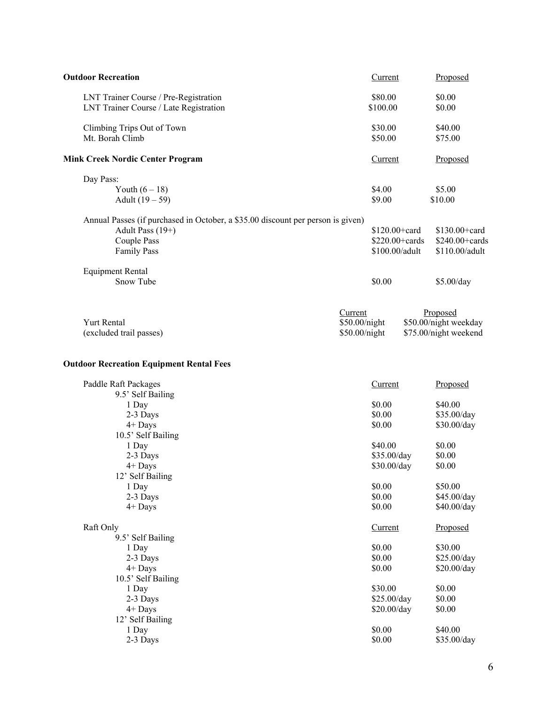| <b>Outdoor Recreation</b>                                                       | Current        | Proposed              |
|---------------------------------------------------------------------------------|----------------|-----------------------|
| LNT Trainer Course / Pre-Registration                                           | \$80.00        | \$0.00                |
| LNT Trainer Course / Late Registration                                          | \$100.00       | \$0.00                |
| Climbing Trips Out of Town                                                      | \$30.00        | \$40.00               |
| Mt. Borah Climb                                                                 | \$50.00        | \$75.00               |
| <b>Mink Creek Nordic Center Program</b>                                         | Current        | Proposed              |
| Day Pass:                                                                       |                |                       |
| Youth $(6 - 18)$                                                                | \$4.00         | \$5.00                |
| Adult $(19 - 59)$                                                               | \$9.00         | \$10.00               |
| Annual Passes (if purchased in October, a \$35.00 discount per person is given) |                |                       |
| Adult Pass (19+)                                                                | \$120.00+card  | $$130.00 + card$      |
| Couple Pass                                                                     | \$220.00+cards | \$240.00+cards        |
| <b>Family Pass</b>                                                              | \$100.00/adult | \$110.00/adult        |
| <b>Equipment Rental</b>                                                         |                |                       |
| Snow Tube                                                                       | \$0.00         | \$5.00/day            |
|                                                                                 | Current        | Proposed              |
| <b>Yurt Rental</b>                                                              | \$50.00/night  | \$50.00/night weekday |
| (excluded trail passes)                                                         | \$50.00/night  | \$75.00/night weekend |
|                                                                                 |                |                       |
| <b>Outdoor Recreation Equipment Rental Fees</b>                                 |                |                       |
| Paddle Raft Packages                                                            | Current        | Proposed              |
| 9.5' Self Bailing                                                               |                |                       |
| 1 Day                                                                           | \$0.00         | \$40.00               |
| 2-3 Days                                                                        | \$0.00         | \$35.00/day           |
| $4+$ Days                                                                       | \$0.00         | \$30.00/day           |
| 10.5' Self Bailing                                                              |                |                       |
| 1 Day                                                                           | \$40.00        | \$0.00                |
| 2-3 Days                                                                        | \$35.00/day    | \$0.00                |
| $4+$ Days                                                                       | \$30.00/day    | \$0.00                |
| 12' Self Bailing                                                                |                |                       |
| 1 Day                                                                           | \$0.00         | \$50.00               |
| 2-3 Days                                                                        | \$0.00         | \$45.00/day           |
| $4+$ Days                                                                       | \$0.00         | \$40.00/day           |
| Raft Only                                                                       | Current        | Proposed              |
| 9.5' Self Bailing                                                               |                |                       |
| 1 Day                                                                           | \$0.00         | \$30.00               |
| 2-3 Days                                                                        | \$0.00         | \$25.00/day           |
| $4+$ Days                                                                       | \$0.00         | \$20.00/day           |
| 10.5' Self Bailing                                                              |                |                       |
| 1 Day                                                                           | \$30.00        | \$0.00                |
| 2-3 Days                                                                        | \$25.00/day    | \$0.00                |
| $4+$ Days                                                                       | \$20.00/day    | \$0.00                |
| 12' Self Bailing                                                                |                |                       |
| 1 Day                                                                           | \$0.00         | \$40.00               |
| 2-3 Days                                                                        | \$0.00         | \$35.00/day           |
|                                                                                 |                |                       |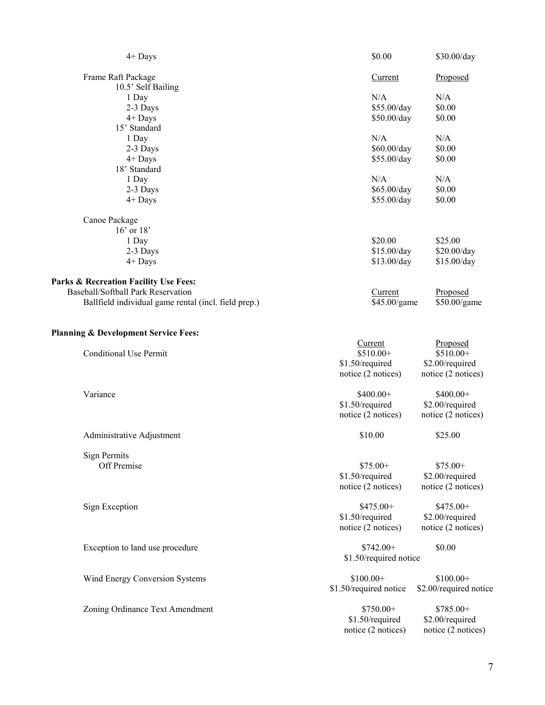| $4+$ Days                                            | \$0.00                 | \$30.00/day            |
|------------------------------------------------------|------------------------|------------------------|
| Frame Raft Package                                   | Current                | Proposed               |
| 10.5' Self Bailing                                   |                        |                        |
| 1 Day                                                | N/A                    | N/A                    |
| 2-3 Days                                             | \$55.00/day            | \$0.00                 |
| 4+ Days                                              | \$50.00/day            | \$0.00                 |
| 15' Standard                                         |                        |                        |
| 1 Day                                                | N/A                    | N/A                    |
| 2-3 Days                                             | \$60.00/day            | \$0.00                 |
| $4+$ Days                                            | \$55.00/day            | \$0.00                 |
| 18' Standard                                         |                        |                        |
| 1 Day                                                | N/A                    | N/A                    |
| 2-3 Days                                             | \$65.00/day            | \$0.00                 |
|                                                      |                        |                        |
| $4+$ Days                                            | \$55.00/day            | \$0.00                 |
| Canoe Package                                        |                        |                        |
| $16'$ or $18'$                                       |                        |                        |
| 1 Day                                                | \$20.00                | \$25.00                |
| 2-3 Days                                             | \$15.00/day            | \$20.00/day            |
| $4+$ Days                                            | \$13.00/day            | \$15.00/day            |
|                                                      |                        |                        |
| Parks & Recreation Facility Use Fees:                |                        |                        |
| Baseball/Softball Park Reservation                   | Current                | Proposed               |
| Ballfield individual game rental (incl. field prep.) | \$45.00/game           | \$50.00/game           |
|                                                      |                        |                        |
| <b>Planning &amp; Development Service Fees:</b>      |                        |                        |
|                                                      | Current                | Proposed               |
| <b>Conditional Use Permit</b>                        | $$510.00+$             | \$510.00+              |
|                                                      | \$1.50/required        | \$2.00/required        |
|                                                      |                        |                        |
|                                                      | notice (2 notices)     | notice (2 notices)     |
| Variance                                             | $$400.00+$             | \$400.00+              |
|                                                      | \$1.50/required        | \$2.00/required        |
|                                                      | notice (2 notices)     | notice (2 notices)     |
|                                                      |                        |                        |
| Administrative Adjustment                            | \$10.00                | \$25.00                |
|                                                      |                        |                        |
| <b>Sign Permits</b>                                  |                        |                        |
| Off Premise                                          | $$75.00+$              | $$75.00+$              |
|                                                      | \$1.50/required        | \$2.00/required        |
|                                                      | notice (2 notices)     | notice (2 notices)     |
| Sign Exception                                       | \$475.00+              | \$475.00+              |
|                                                      | \$1.50/required        | \$2.00/required        |
|                                                      |                        |                        |
|                                                      | notice (2 notices)     | notice (2 notices)     |
| Exception to land use procedure                      | $$742.00+$             | \$0.00                 |
|                                                      | \$1.50/required notice |                        |
|                                                      |                        |                        |
| Wind Energy Conversion Systems                       | $$100.00+$             | $$100.00+$             |
|                                                      | \$1.50/required notice | \$2.00/required notice |
|                                                      |                        |                        |
| Zoning Ordinance Text Amendment                      | \$750.00+              | \$785.00+              |
|                                                      |                        |                        |
|                                                      | \$1.50/required        | \$2.00/required        |
|                                                      | notice (2 notices)     | notice (2 notices)     |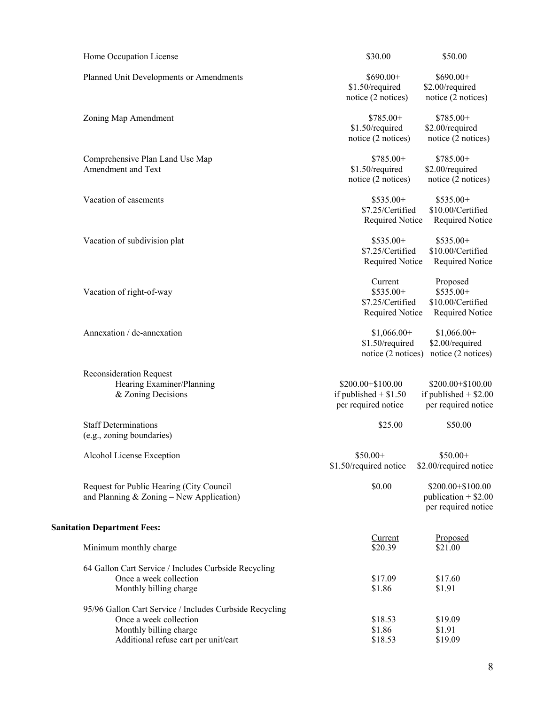| Home Occupation License                                                                                                                             | \$30.00                                                             | \$50.00                                                             |
|-----------------------------------------------------------------------------------------------------------------------------------------------------|---------------------------------------------------------------------|---------------------------------------------------------------------|
| Planned Unit Developments or Amendments                                                                                                             | $$690.00+$<br>\$1.50/required<br>notice (2 notices)                 | $$690.00+$<br>\$2.00/required<br>notice (2 notices)                 |
| Zoning Map Amendment                                                                                                                                | $$785.00+$<br>\$1.50/required<br>notice (2 notices)                 | \$785.00+<br>\$2.00/required<br>notice (2 notices)                  |
| Comprehensive Plan Land Use Map<br>Amendment and Text                                                                                               | \$785.00+<br>\$1.50/required<br>notice (2 notices)                  | \$785.00+<br>\$2.00/required<br>notice (2 notices)                  |
| Vacation of easements                                                                                                                               | $$535.00+$<br>\$7.25/Certified<br>Required Notice                   | \$535.00+<br>\$10.00/Certified<br>Required Notice                   |
| Vacation of subdivision plat                                                                                                                        | \$535.00+<br>\$7.25/Certified<br>Required Notice                    | \$535.00+<br>\$10.00/Certified<br>Required Notice                   |
| Vacation of right-of-way                                                                                                                            | Current<br>\$535.00+<br>\$7.25/Certified<br>Required Notice         | Proposed<br>\$535.00+<br>\$10.00/Certified<br>Required Notice       |
| Annexation / de-annexation                                                                                                                          | $$1,066.00+$<br>\$1.50/required<br>notice (2 notices)               | $$1,066.00+$<br>\$2.00/required<br>notice (2 notices)               |
| <b>Reconsideration Request</b><br>Hearing Examiner/Planning<br>& Zoning Decisions                                                                   | \$200.00+\$100.00<br>if published $+$ \$1.50<br>per required notice | \$200.00+\$100.00<br>if published $+$ \$2.00<br>per required notice |
| <b>Staff Determinations</b><br>(e.g., zoning boundaries)                                                                                            | \$25.00                                                             | \$50.00                                                             |
| Alcohol License Exception                                                                                                                           | $$50.00+$<br>\$1.50/required notice                                 | $$50.00+$<br>\$2.00/required notice                                 |
| Request for Public Hearing (City Council<br>and Planning & Zoning - New Application)                                                                | \$0.00                                                              | \$200.00+\$100.00<br>publication $+$ \$2.00<br>per required notice  |
| <b>Sanitation Department Fees:</b>                                                                                                                  |                                                                     |                                                                     |
| Minimum monthly charge                                                                                                                              | Current<br>\$20.39                                                  | Proposed<br>\$21.00                                                 |
| 64 Gallon Cart Service / Includes Curbside Recycling<br>Once a week collection<br>Monthly billing charge                                            | \$17.09<br>\$1.86                                                   | \$17.60<br>\$1.91                                                   |
| 95/96 Gallon Cart Service / Includes Curbside Recycling<br>Once a week collection<br>Monthly billing charge<br>Additional refuse cart per unit/cart | \$18.53<br>\$1.86<br>\$18.53                                        | \$19.09<br>\$1.91<br>\$19.09                                        |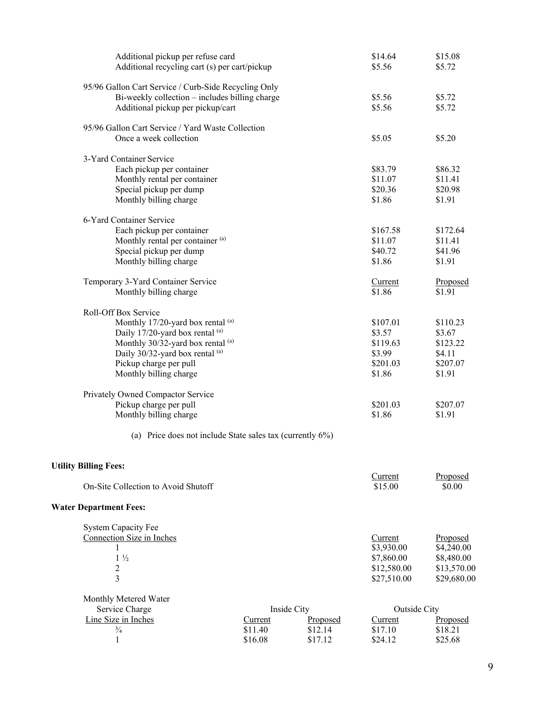| Additional pickup per refuse card<br>Additional recycling cart (s) per cart/pickup |         |             | \$14.64<br>\$5.56   | \$15.08<br>\$5.72 |
|------------------------------------------------------------------------------------|---------|-------------|---------------------|-------------------|
| 95/96 Gallon Cart Service / Curb-Side Recycling Only                               |         |             |                     |                   |
| Bi-weekly collection – includes billing charge                                     |         |             | \$5.56              | \$5.72            |
| Additional pickup per pickup/cart                                                  |         |             | \$5.56              | \$5.72            |
|                                                                                    |         |             |                     |                   |
| 95/96 Gallon Cart Service / Yard Waste Collection                                  |         |             |                     |                   |
| Once a week collection                                                             |         |             | \$5.05              | \$5.20            |
| 3-Yard Container Service                                                           |         |             |                     |                   |
| Each pickup per container                                                          |         |             | \$83.79             | \$86.32           |
| Monthly rental per container                                                       |         |             | \$11.07             | \$11.41           |
| Special pickup per dump                                                            |         |             | \$20.36             | \$20.98           |
| Monthly billing charge                                                             |         |             | \$1.86              | \$1.91            |
|                                                                                    |         |             |                     |                   |
| 6-Yard Container Service                                                           |         |             |                     |                   |
| Each pickup per container                                                          |         |             | \$167.58<br>\$11.07 | \$172.64          |
| Monthly rental per container (a)                                                   |         |             |                     | \$11.41           |
| Special pickup per dump                                                            |         |             | \$40.72<br>\$1.86   | \$41.96<br>\$1.91 |
| Monthly billing charge                                                             |         |             |                     |                   |
| Temporary 3-Yard Container Service                                                 |         |             | Current             | Proposed          |
| Monthly billing charge                                                             |         |             | \$1.86              | \$1.91            |
| Roll-Off Box Service                                                               |         |             |                     |                   |
| Monthly 17/20-yard box rental (a)                                                  |         |             | \$107.01            | \$110.23          |
| Daily 17/20-yard box rental (a)                                                    |         |             | \$3.57              | \$3.67            |
| Monthly 30/32-yard box rental (a)                                                  |         |             | \$119.63            | \$123.22          |
| Daily 30/32-yard box rental (a)                                                    |         |             | \$3.99              | \$4.11            |
| Pickup charge per pull                                                             |         |             | \$201.03            | \$207.07          |
| Monthly billing charge                                                             |         |             | \$1.86              | \$1.91            |
| Privately Owned Compactor Service                                                  |         |             |                     |                   |
| Pickup charge per pull                                                             |         |             | \$201.03            | \$207.07          |
| Monthly billing charge                                                             |         |             | \$1.86              | \$1.91            |
|                                                                                    |         |             |                     |                   |
| (a) Price does not include State sales tax (currently 6%)                          |         |             |                     |                   |
| <b>Utility Billing Fees:</b>                                                       |         |             |                     |                   |
|                                                                                    |         |             | Current             | Proposed          |
| On-Site Collection to Avoid Shutoff                                                |         |             | \$15.00             | \$0.00            |
| <b>Water Department Fees:</b>                                                      |         |             |                     |                   |
| <b>System Capacity Fee</b>                                                         |         |             |                     |                   |
| Connection Size in Inches                                                          |         |             | Current             | Proposed          |
| 1                                                                                  |         |             | \$3,930.00          | \$4,240.00        |
| $1\frac{1}{2}$                                                                     |         |             | \$7,860.00          | \$8,480.00        |
| $\overline{c}$                                                                     |         |             | \$12,580.00         | \$13,570.00       |
| $\overline{3}$                                                                     |         |             | \$27,510.00         | \$29,680.00       |
| Monthly Metered Water                                                              |         |             |                     |                   |
| Service Charge                                                                     |         | Inside City | Outside City        |                   |
| Line Size in Inches                                                                | Current | Proposed    | Current             | Proposed          |
| $\frac{3}{4}$                                                                      | \$11.40 | \$12.14     | \$17.10             | \$18.21           |
| $\mathbf{1}$                                                                       | \$16.08 | \$17.12     | \$24.12             | \$25.68           |
|                                                                                    |         |             |                     |                   |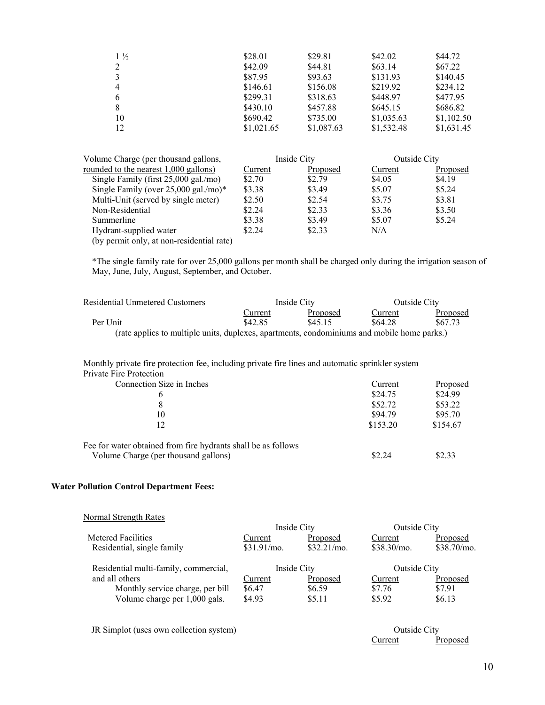| $1\frac{1}{2}$ | \$28.01    | \$29.81    | \$42.02    | \$44.72    |
|----------------|------------|------------|------------|------------|
|                | \$42.09    | \$44.81    | \$63.14    | \$67.22    |
|                | \$87.95    | \$93.63    | \$131.93   | \$140.45   |
| 4              | \$146.61   | \$156.08   | \$219.92   | \$234.12   |
|                | \$299.31   | \$318.63   | \$448.97   | \$477.95   |
|                | \$430.10   | \$457.88   | \$645.15   | \$686.82   |
| 10             | \$690.42   | \$735.00   | \$1,035.63 | \$1,102.50 |
| 12             | \$1,021.65 | \$1,087.63 | \$1,532.48 | \$1,631.45 |
|                |            |            |            |            |

| Volume Charge (per thousand gallons,      |         | Inside City | <b>Outside City</b> |          |
|-------------------------------------------|---------|-------------|---------------------|----------|
| rounded to the nearest 1,000 gallons)     | Current | Proposed    | Current             | Proposed |
| Single Family (first $25,000$ gal./mo)    | \$2.70  | \$2.79      | \$4.05              | \$4.19   |
| Single Family (over $25,000$ gal./mo)*    | \$3.38  | \$3.49      | \$5.07              | \$5.24   |
| Multi-Unit (served by single meter)       | \$2.50  | \$2.54      | \$3.75              | \$3.81   |
| Non-Residential                           | \$2.24  | \$2.33      | \$3.36              | \$3.50   |
| Summerline                                | \$3.38  | \$3.49      | \$5.07              | \$5.24   |
| Hydrant-supplied water                    | \$2.24  | \$2.33      | N/A                 |          |
| (by permit only, at non-residential rate) |         |             |                     |          |

\*The single family rate for over 25,000 gallons per month shall be charged only during the irrigation season of May, June, July, August, September, and October.

| Residential Unmetered Customers                                                             |         | Inside City |         | Outside City |
|---------------------------------------------------------------------------------------------|---------|-------------|---------|--------------|
|                                                                                             | Current | Proposed    | Current | Proposed     |
| Per Unit                                                                                    | \$42.85 | \$45.15     | \$64.28 | \$67.73      |
| (rate applies to multiple units, duplexes, apartments, condominiums and mobile home parks.) |         |             |         |              |

 Monthly private fire protection fee, including private fire lines and automatic sprinkler system Private Fire Protection

| Connection Size in Inches                                     | Current  | Proposed |
|---------------------------------------------------------------|----------|----------|
| b                                                             | \$24.75  | \$24.99  |
|                                                               | \$52.72  | \$53.22  |
| 10                                                            | \$94.79  | \$95.70  |
| 12                                                            | \$153.20 | \$154.67 |
| Fee for water obtained from fire hydrants shall be as follows |          |          |
| Volume Charge (per thousand gallons)                          | \$2.24   | \$2.33   |

### **Water Pollution Control Department Fees:**

| Normal Strength Rates                 |             |                |               |             |
|---------------------------------------|-------------|----------------|---------------|-------------|
|                                       | Inside City |                | Outside City  |             |
| Metered Facilities                    | Current     | Proposed       | Current       | Proposed    |
| Residential, single family            | \$31.91/mo. | $$32.21/mol$ . | $$38.30/m$ o. | \$38.70/mo. |
| Residential multi-family, commercial, | Inside City |                | Outside City  |             |
| and all others                        | Current     | Proposed       | Current       | Proposed    |
| Monthly service charge, per bill      | \$6.47      | \$6.59         | \$7.76        | \$7.91      |
| Volume charge per 1,000 gals.         | \$4.93      | \$5.11         | \$5.92        | \$6.13      |

JR Simplot (uses own collection system) Outside City

**Current Proposed**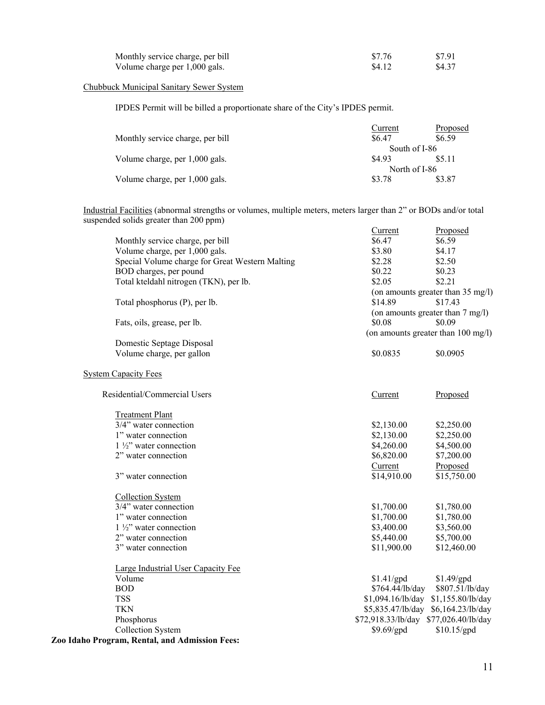| Monthly service charge, per bill | \$7.76 | \$7.91 |
|----------------------------------|--------|--------|
| Volume charge per 1,000 gals.    | \$4.12 | \$4.37 |

### Chubbuck Municipal Sanitary Sewer System

IPDES Permit will be billed a proportionate share of the City's IPDES permit.

| Current | Proposed                       |
|---------|--------------------------------|
| \$6.47  | \$6.59                         |
|         |                                |
| \$4.93  | \$5.11                         |
|         |                                |
| \$3.78  | \$3.87                         |
|         | South of I-86<br>North of I-86 |

Industrial Facilities (abnormal strengths or volumes, multiple meters, meters larger than 2" or BODs and/or total suspended solids greater than 200 ppm)

|                                                 | Current                               | Proposed                            |
|-------------------------------------------------|---------------------------------------|-------------------------------------|
| Monthly service charge, per bill                | \$6.47                                | \$6.59                              |
| Volume charge, per 1,000 gals.                  | \$3.80                                | \$4.17                              |
| Special Volume charge for Great Western Malting | \$2.28                                | \$2.50                              |
| BOD charges, per pound                          | \$0.22                                | \$0.23                              |
| Total kteldahl nitrogen (TKN), per lb.          | \$2.05                                | \$2.21                              |
|                                                 |                                       | (on amounts greater than 35 mg/l)   |
| Total phosphorus (P), per lb.                   | \$14.89                               | \$17.43                             |
|                                                 |                                       | (on amounts greater than 7 mg/l)    |
| Fats, oils, grease, per lb.                     | \$0.08                                | \$0.09                              |
|                                                 |                                       | (on amounts greater than 100 mg/l)  |
| Domestic Septage Disposal                       |                                       |                                     |
| Volume charge, per gallon                       | \$0.0835                              | \$0.0905                            |
|                                                 |                                       |                                     |
| <b>System Capacity Fees</b>                     |                                       |                                     |
|                                                 |                                       |                                     |
| Residential/Commercial Users                    | Current                               | Proposed                            |
|                                                 |                                       |                                     |
| <b>Treatment Plant</b>                          |                                       |                                     |
| 3/4" water connection                           | \$2,130.00                            | \$2,250.00                          |
| 1" water connection                             | \$2,130.00                            | \$2,250.00                          |
| $1\frac{1}{2}$ " water connection               | \$4,260.00                            | \$4,500.00                          |
| 2" water connection                             | \$6,820.00                            | \$7,200.00                          |
|                                                 | Current                               | Proposed                            |
| 3" water connection                             | \$14,910.00                           | \$15,750.00                         |
| <b>Collection System</b>                        |                                       |                                     |
| 3/4" water connection                           | \$1,700.00                            | \$1,780.00                          |
| 1" water connection                             | \$1,700.00                            | \$1,780.00                          |
| $1\frac{1}{2}$ " water connection               | \$3,400.00                            | \$3,560.00                          |
| 2" water connection                             | \$5,440.00                            | \$5,700.00                          |
| 3" water connection                             | \$11,900.00                           | \$12,460.00                         |
|                                                 |                                       |                                     |
| Large Industrial User Capacity Fee              |                                       |                                     |
| Volume                                          | \$1.41/gpd                            | \$1.49/gpd                          |
| <b>BOD</b>                                      | \$764.44/lb/day                       | \$807.51/lb/day                     |
| <b>TSS</b>                                      |                                       | \$1,094.16/lb/day \$1,155.80/lb/day |
| <b>TKN</b>                                      |                                       | \$5,835.47/lb/day \$6,164.23/lb/day |
| Phosphorus                                      | \$72,918.33/lb/day \$77,026.40/lb/day |                                     |
| Collection System                               | \$9.69/gpd                            | \$10.15/gpd                         |
| Zoo Idaho Program, Rental, and Admission Fees:  |                                       |                                     |
|                                                 |                                       |                                     |